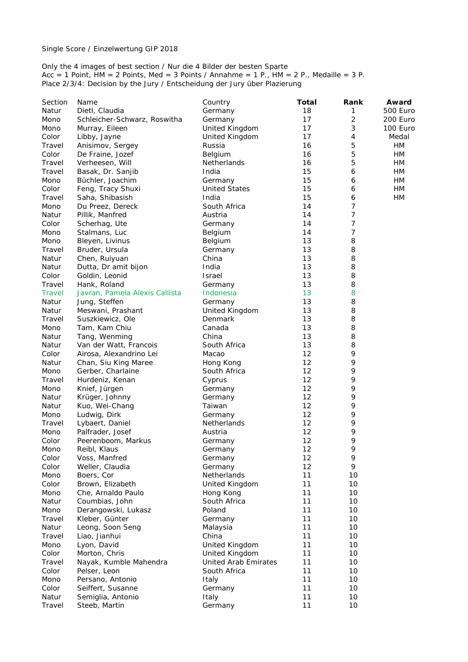Only the 4 images of best section / Nur die 4 Bilder der besten Sparte Acc = 1 Point, HM = 2 Points, Med = 3 Points / Annahme = 1 P., HM = 2 P., Medaille = 3 P. Place 2/3/4: Decision by the Jury / Entscheidung der Jury über Plazierung

| Section       | Name                           | Country                     | <b>Total</b> | Rank           | Award    |
|---------------|--------------------------------|-----------------------------|--------------|----------------|----------|
| Natur         | Dietl, Claudia                 | Germany                     | 18           | 1              | 500 Euro |
| Mono          | Schleicher-Schwarz, Roswitha   | Germany                     | 17           | $\overline{2}$ | 200 Euro |
| Mono          | Murray, Eileen                 | United Kingdom              | 17           | 3              | 100 Euro |
| Color         | Libby, Jayne                   | United Kingdom              | 17           | 4              | Medal    |
| Travel        | Anisimov, Sergey               | Russia                      | 16           | 5              | HМ       |
| Color         | De Fraine, Jozef               | Belgium                     | 16           | 5              | HM       |
| Travel        | Verheesen, Will                | Netherlands                 | 16           | 5              | HM       |
| Travel        | Basak, Dr. Sanjib              | India                       | 15           | 6              | HM       |
| Mono          | Büchler, Joachim               | Germany                     | 15           | 6              | HM       |
| Color         | Feng, Tracy Shuxi              | <b>United States</b>        | 15           | 6              | HM       |
| Travel        | Saha, Shibasish                | India                       | 15           | 6              | HM       |
| Mono          | Du Preez, Dereck               | South Africa                | 14           | 7              |          |
| Natur         | Pillik, Manfred                | Austria                     | 14           | 7              |          |
| Color         | Scherhag, Ute                  | Germany                     | 14           | $\overline{7}$ |          |
| Mono          | Stalmans, Luc                  | Belgium                     | 14           | 7              |          |
| Mono          | Bleyen, Livinus                | Belgium                     | 13           | 8              |          |
| Travel        | Bruder, Ursula                 |                             | 13           | 8              |          |
| Natur         |                                | Germany<br>China            | 13           | 8              |          |
|               | Chen, Ruiyuan                  |                             |              |                |          |
| Natur         | Dutta, Dr amit bijon           | India                       | 13           | 8              |          |
| Color         | Goldin, Leonid                 | <b>Israel</b>               | 13           | 8              |          |
| Travel        | Hank, Roland                   | Germany                     | 13           | 8              |          |
| <b>Travel</b> | Javran, Pamela Alexis Callista | Indonesia                   | 13           | 8              |          |
| Natur         | Jung, Steffen                  | Germany                     | 13           | 8              |          |
| Natur         | Meswani, Prashant              | United Kingdom              | 13           | 8              |          |
| Travel        | Suszkiewicz, Ole               | Denmark                     | 13           | 8              |          |
| Mono          | Tam, Kam Chiu                  | Canada                      | 13           | 8              |          |
| Natur         | Tang, Wenming                  | China                       | 13           | 8              |          |
| Natur         | Van der Watt, Francois         | South Africa                | 13           | 8              |          |
| Color         | Airosa, Alexandrino Lei        | Macao                       | 12           | 9              |          |
| Natur         | Chan, Siu King Maree           | Hong Kong                   | 12           | 9              |          |
| Mono          | Gerber, Charlaine              | South Africa                | 12           | 9              |          |
| Travel        | Hurdeniz, Kenan                | Cyprus                      | 12           | 9              |          |
| Mono          | Knief, Jürgen                  | Germany                     | 12           | 9              |          |
| Natur         | Krüger, Johnny                 | Germany                     | 12           | 9              |          |
| Natur         | Kuo, Wei-Chang                 | Taiwan                      | 12           | 9              |          |
| Mono          | Ludwig, Dirk                   | Germany                     | 12           | 9              |          |
| Travel        | Lybaert, Daniel                | Netherlands                 | 12           | 9              |          |
| Mono          | Palfrader, Josef               | Austria                     | 12           | 9              |          |
| Color         | Peerenboom, Markus             | Germany                     | 12           | 9              |          |
| Mono          | Reibl, Klaus                   | Germany                     | 12           | 9              |          |
| Color         | Voss, Manfred                  | Germany                     | 12           | 9              |          |
| Color         | Weller, Claudia                | Germany                     | 12           | 9              |          |
| Mono          | Boers, Cor                     | Netherlands                 | 11           | 10             |          |
| Color         |                                |                             | 11           | 10             |          |
|               | Brown, Elizabeth               | United Kingdom              |              |                |          |
| Mono          | Che, Arnaldo Paulo             | Hong Kong                   | 11           | 10             |          |
| Natur         | Coumbias, John                 | South Africa                | 11           | 10             |          |
| Mono          | Derangowski, Lukasz            | Poland                      | 11           | 10             |          |
| Travel        | Kleber, Günter                 | Germany                     | 11           | 10             |          |
| Natur         | Leong, Soon Seng               | Malaysia                    | 11           | 10             |          |
| Travel        | Liao, Jianhui                  | China                       | 11           | 10             |          |
| Mono          | Lyon, David                    | United Kingdom              | 11           | 10             |          |
| Color         | Morton, Chris                  | United Kingdom              | 11           | 10             |          |
| Travel        | Nayak, Kumble Mahendra         | <b>United Arab Emirates</b> | 11           | 10             |          |
| Color         | Pelser, Leon                   | South Africa                | 11           | 10             |          |
| Mono          | Persano, Antonio               | Italy                       | 11           | 10             |          |
| Color         | Seiffert, Susanne              | Germany                     | 11           | 10             |          |
| Natur         | Semiglia, Antonio              | Italy                       | 11           | 10             |          |
| Travel        | Steeb, Martin                  | Germany                     | 11           | 10             |          |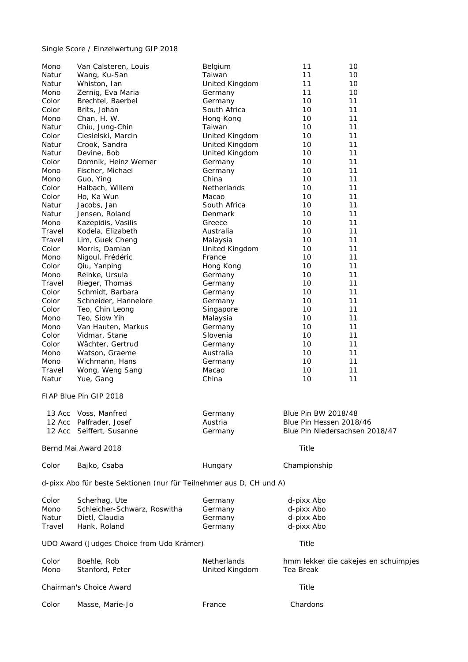## Single Score / Einzelwertung GIP 2018

| Mono   | Van Calsteren, Louis                                                | Belgium        | 11                      | 10                                   |
|--------|---------------------------------------------------------------------|----------------|-------------------------|--------------------------------------|
| Natur  | Wang, Ku-San                                                        | Taiwan         | 11                      | 10                                   |
| Natur  | Whiston, Ian                                                        | United Kingdom | 11                      | 10                                   |
| Mono   | Zernig, Eva Maria                                                   | Germany        | 11                      | 10                                   |
| Color  | Brechtel, Baerbel                                                   | Germany        | 10                      | 11                                   |
| Color  | Brits, Johan                                                        | South Africa   | 10                      | 11                                   |
| Mono   | Chan, H. W.                                                         | Hong Kong      | 10                      | 11                                   |
| Natur  | Chiu, Jung-Chin                                                     | Taiwan         | 10                      | 11                                   |
| Color  | Ciesielski, Marcin                                                  | United Kingdom | 10                      | 11                                   |
| Natur  | Crook, Sandra                                                       | United Kingdom | 10                      | 11                                   |
| Natur  | Devine, Bob                                                         | United Kingdom | 10                      | 11                                   |
| Color  | Domnik, Heinz Werner                                                | Germany        | 10                      | 11                                   |
| Mono   | Fischer, Michael                                                    | Germany        | 10                      | 11                                   |
| Mono   | Guo, Ying                                                           | China          | 10                      | 11                                   |
| Color  | Halbach, Willem                                                     | Netherlands    | 10                      | 11                                   |
| Color  | Ho, Ka Wun                                                          | Macao          | 10                      | 11                                   |
| Natur  | Jacobs, Jan                                                         | South Africa   | 10                      | 11                                   |
| Natur  | Jensen, Roland                                                      | Denmark        | 10                      | 11                                   |
| Mono   | Kazepidis, Vasilis                                                  | Greece         | 10                      | 11                                   |
| Travel | Kodela, Elizabeth                                                   | Australia      | 10                      | 11                                   |
| Travel | Lim, Guek Cheng                                                     | Malaysia       | 10                      | 11                                   |
| Color  | Morris, Damian                                                      | United Kingdom | 10                      | 11                                   |
| Mono   | Nigoul, Frédéric                                                    | France         | 10                      | 11                                   |
| Color  | Qiu, Yanping                                                        | Hong Kong      | 10                      | 11                                   |
| Mono   | Reinke, Ursula                                                      | Germany        | 10                      | 11                                   |
| Travel | Rieger, Thomas                                                      | Germany        | 10                      | 11                                   |
| Color  | Schmidt, Barbara                                                    | Germany        | 10                      | 11                                   |
| Color  | Schneider, Hannelore                                                | Germany        | 10                      | 11                                   |
| Color  | Teo, Chin Leong                                                     | Singapore      | 10                      | 11                                   |
| Mono   | Teo, Siow Yih                                                       | Malaysia       | 10                      | 11                                   |
| Mono   | Van Hauten, Markus                                                  | Germany        | 10                      | 11                                   |
|        |                                                                     |                |                         | 11                                   |
| Color  | Vidmar, Stane                                                       | Slovenia       | 10                      | 11                                   |
| Color  | Wächter, Gertrud                                                    | Germany        | 10                      |                                      |
| Mono   | Watson, Graeme                                                      | Australia      | 10                      | 11                                   |
| Mono   | Wichmann, Hans                                                      | Germany        | 10                      | 11                                   |
| Travel | Wong, Weng Sang                                                     | Macao          | 10                      | 11                                   |
| Natur  | Yue, Gang                                                           | China          | 10                      | 11                                   |
|        | FIAP Blue Pin GIP 2018                                              |                |                         |                                      |
|        | 13 Acc Voss, Manfred                                                | Germany        | Blue Pin BW 2018/48     |                                      |
|        | 12 Acc Palfrader, Josef                                             | Austria        | Blue Pin Hessen 2018/46 |                                      |
|        | 12 Acc Seiffert, Susanne                                            | Germany        |                         | Blue Pin Niedersachsen 2018/47       |
|        |                                                                     |                |                         |                                      |
|        | Bernd Mai Award 2018                                                |                | Title                   |                                      |
| Color  | Bajko, Csaba                                                        | Hungary        | Championship            |                                      |
|        | d-pixx Abo für beste Sektionen (nur für Teilnehmer aus D, CH und A) |                |                         |                                      |
| Color  | Scherhag, Ute                                                       | Germany        | d-pixx Abo              |                                      |
| Mono   | Schleicher-Schwarz, Roswitha                                        | Germany        | d-pixx Abo              |                                      |
| Natur  | Dietl, Claudia                                                      | Germany        | d-pixx Abo              |                                      |
| Travel | Hank, Roland                                                        | Germany        | d-pixx Abo              |                                      |
|        |                                                                     |                |                         |                                      |
|        | UDO Award (Judges Choice from Udo Krämer)                           |                | Title                   |                                      |
| Color  | Boehle, Rob                                                         | Netherlands    |                         | hmm lekker die cakejes en schuimpjes |
| Mono   | Stanford, Peter                                                     | United Kingdom | Tea Break               |                                      |
|        | Chairman's Choice Award                                             |                | Title                   |                                      |
| Color  | Masse, Marie-Jo                                                     | France         | Chardons                |                                      |